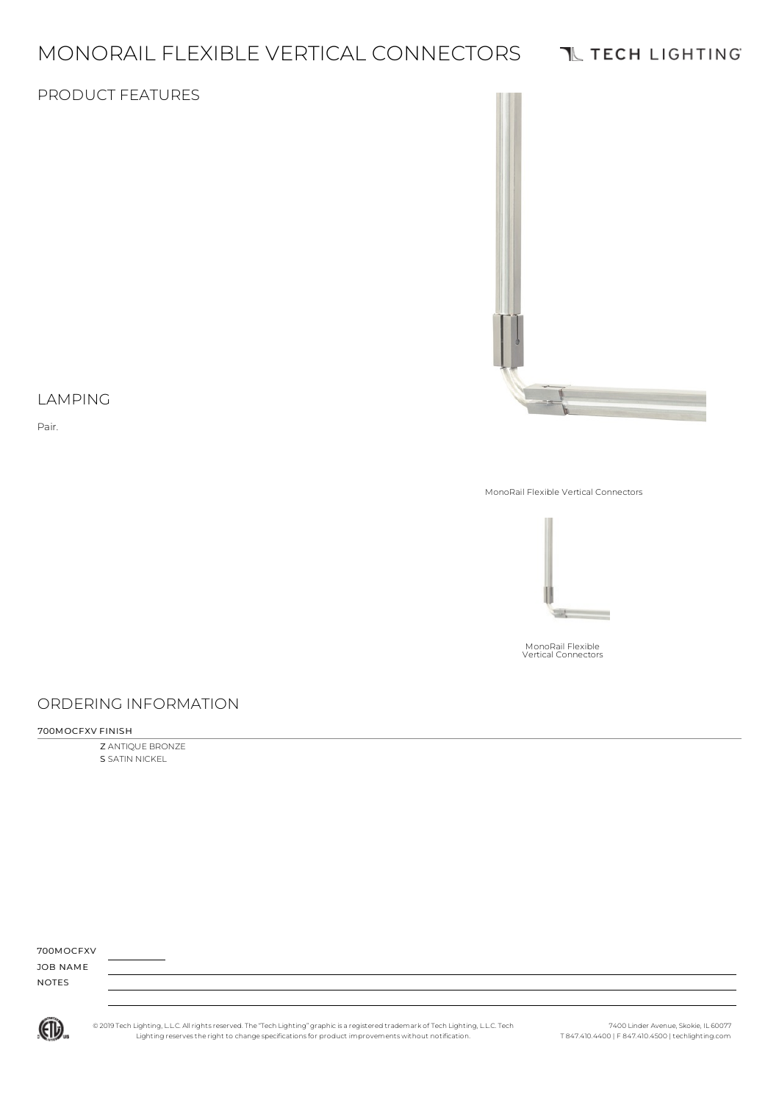# MONORAIL FLEXIBLE VERTICAL CONNECTORS

## **TL TECH LIGHTING**

#### PRODUCT FEATURES



#### LAMPING

Pair.

MonoRail Flexible Vertical Connectors



MonoRail Flexible Vertical Connectors

## ORDERING INFORMATION

#### 700MOCFXV FINISH

Z ANTIQUE BRONZE S SATIN NICKEL

| 700MOCFXV    |  |  |  |
|--------------|--|--|--|
| JOB NAME     |  |  |  |
| <b>NOTES</b> |  |  |  |
|              |  |  |  |



© 2019 Tech Lighting, L.L.C. All rightsreserved. The "Tech Lighting" graphicis a registered trademark of Tech Lighting, L.L.C. Tech Lighting reservesthe right to change specificationsfor product improvements without notification.